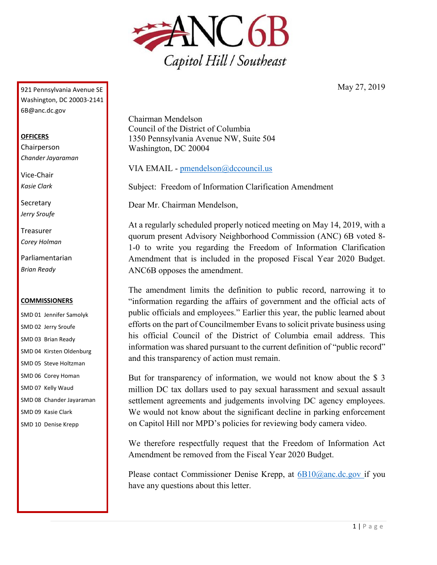

May 27, 2019

921 Pennsylvania Avenue SE Washington, DC 20003-2141 6B@anc.dc.gov

## **OFFICERS**

Chairperson *Chander Jayaraman*

Vice-Chair *Kasie Clark*

**Secretary** *Jerry Sroufe*

Treasurer *Corey Holman*

Parliamentarian *Brian Ready*

## **COMMISSIONERS**

SMD 01 Jennifer Samolyk SMD 02 Jerry Sroufe SMD 03 Brian Ready SMD 04 Kirsten Oldenburg SMD 05 Steve Holtzman SMD 06 Corey Homan SMD 07 Kelly Waud SMD 08 Chander Jayaraman SMD 09 Kasie Clark SMD 10 Denise Krepp

Chairman Mendelson Council of the District of Columbia 1350 Pennsylvania Avenue NW, Suite 504 Washington, DC 20004

VIA EMAIL - [pmendelson@dccouncil.us](mailto:pmendelson@dccouncil.us)

Subject: Freedom of Information Clarification Amendment

Dear Mr. Chairman Mendelson,

At a regularly scheduled properly noticed meeting on May 14, 2019, with a quorum present Advisory Neighborhood Commission (ANC) 6B voted 8- 1-0 to write you regarding the Freedom of Information Clarification Amendment that is included in the proposed Fiscal Year 2020 Budget. ANC6B opposes the amendment.

The amendment limits the definition to public record, narrowing it to "information regarding the affairs of government and the official acts of public officials and employees." Earlier this year, the public learned about efforts on the part of Councilmember Evans to solicit private business using his official Council of the District of Columbia email address. This information was shared pursuant to the current definition of "public record" and this transparency of action must remain.

But for transparency of information, we would not know about the \$ 3 million DC tax dollars used to pay sexual harassment and sexual assault settlement agreements and judgements involving DC agency employees. We would not know about the significant decline in parking enforcement on Capitol Hill nor MPD's policies for reviewing body camera video.

We therefore respectfully request that the Freedom of Information Act Amendment be removed from the Fiscal Year 2020 Budget.

Please contact Commissioner Denise Krepp, at [6B10@anc.dc.gov](mailto:6B10@anc.dc.gov) if you have any questions about this letter.